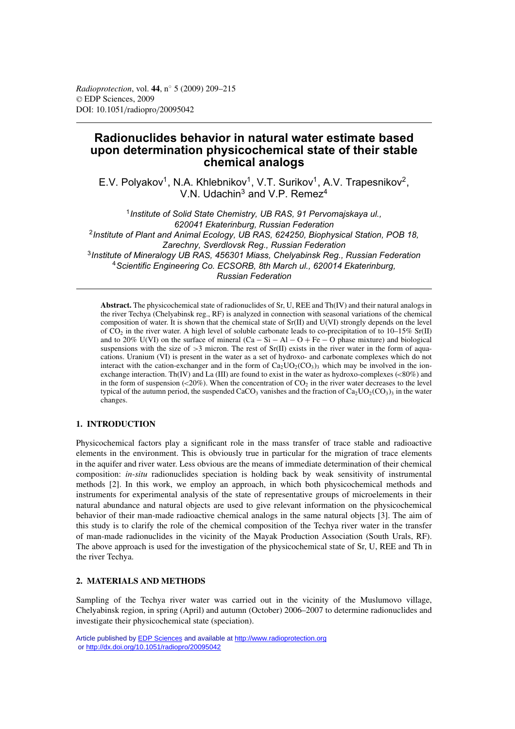# **Radionuclides behavior in natural water estimate based upon determination physicochemical state of their stable chemical analogs**

E.V. Polyakov<sup>1</sup>, N.A. Khlebnikov<sup>1</sup>, V.T. Surikov<sup>1</sup>, A.V. Trapesnikov<sup>2</sup>, V.N. Udachin<sup>3</sup> and V.P. Remez<sup>4</sup>

<sup>1</sup>*Institute of Solid State Chemistry, UB RAS, 91 Pervomajskaya ul., 620041 Ekaterinburg, Russian Federation* <sup>2</sup>*Institute of Plant and Animal Ecology, UB RAS, 624250, Biophysical Station, POB 18, Zarechny, Sverdlovsk Reg., Russian Federation* <sup>3</sup>*Institute of Mineralogy UB RAS, 456301 Miass, Chelyabinsk Reg., Russian Federation* <sup>4</sup>*Scientific Engineering Co. ECSORB, 8th March ul., 620014 Ekaterinburg, Russian Federation*

**Abstract.** The physicochemical state of radionuclides of Sr, U, REE and Th(IV) and their natural analogs in the river Techya (Chelyabinsk reg., RF) is analyzed in connection with seasonal variations of the chemical composition of water. It is shown that the chemical state of Sr(II) and U(VI) strongly depends on the level of  $CO_2$  in the river water. A high level of soluble carbonate leads to co-precipitation of to 10–15% Sr(II) and to 20% U(VI) on the surface of mineral  $(Ca - Si - Al - O + Fe - O$  phase mixture) and biological suspensions with the size of  $>3$  micron. The rest of Sr(II) exists in the river water in the form of aquacations. Uranium (VI) is present in the water as a set of hydroxo- and carbonate complexes which do not interact with the cation-exchanger and in the form of  $Ca_2UO_2(CO_3)$ <sub>3</sub> which may be involved in the ionexchange interaction. Th(IV) and La (III) are found to exist in the water as hydroxo-complexes (<80%) and in the form of suspension ( $\langle 20\% \rangle$ ). When the concentration of  $CO_2$  in the river water decreases to the level typical of the autumn period, the suspended CaCO<sub>3</sub> vanishes and the fraction of  $Ca_2UO_2(CO_3)$ <sub>3</sub> in the water changes.

# **1. INTRODUCTION**

Physicochemical factors play a significant role in the mass transfer of trace stable and radioactive elements in the environment. This is obviously true in particular for the migration of trace elements in the aquifer and river water. Less obvious are the means of immediate determination of their chemical composition: *in-situ* radionuclides speciation is holding back by weak sensitivity of instrumental methods [2]. In this work, we employ an approach, in which both physicochemical methods and instruments for experimental analysis of the state of representative groups of microelements in their natural abundance and natural objects are used to give relevant information on the physicochemical behavior of their man-made radioactive chemical analogs in the same natural objects [3]. The aim of this study is to clarify the role of the chemical composition of the Techya river water in the transfer of man-made radionuclides in the vicinity of the Mayak Production Association (South Urals, RF). The above approach is used for the investigation of the physicochemical state of Sr, U, REE and Th in the river Techya.

## **2. MATERIALS AND METHODS**

Sampling of the Techya river water was carried out in the vicinity of the Muslumovo village, Chelyabinsk region, in spring (April) and autumn (October) 2006–2007 to determine radionuclides and investigate their physicochemical state (speciation).

Article published by [EDP Sciences](http://www.edpsciences.org) and available at<http://www.radioprotection.org> or <http://dx.doi.org/10.1051/radiopro/20095042>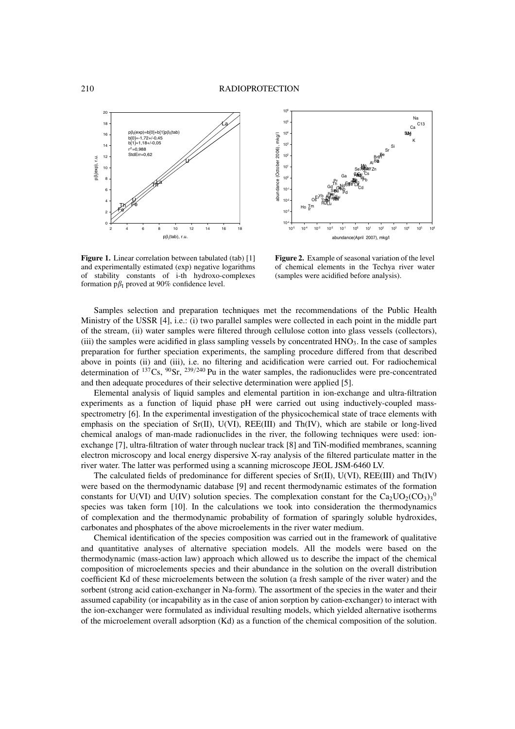



**Figure 1.** Linear correlation between tabulated (tab) [1] and experimentally estimated (exp) negative logarithms of stability constants of i-th hydroxo-complexes formation  $p_{I}$  proved at 90% confidence level.

**Figure 2.** Example of seasonal variation of the level of chemical elements in the Techya river water (samples were acidified before analysis).

Samples selection and preparation techniques met the recommendations of the Public Health Ministry of the USSR [4], i.e.: (i) two parallel samples were collected in each point in the middle part of the stream, (ii) water samples were filtered through cellulose cotton into glass vessels (collectors), (iii) the samples were acidified in glass sampling vessels by concentrated  $HNO<sub>3</sub>$ . In the case of samples preparation for further speciation experiments, the sampling procedure differed from that described above in points (ii) and (iii), i.e. no filtering and acidification were carried out. For radiochemical determination of  $^{137}Cs$ ,  $^{90}Sr$ ,  $^{239/240}Pu$  in the water samples, the radionuclides were pre-concentrated and then adequate procedures of their selective determination were applied [5].

Elemental analysis of liquid samples and elemental partition in ion-exchange and ultra-filtration experiments as a function of liquid phase pH were carried out using inductively-coupled massspectrometry [6]. In the experimental investigation of the physicochemical state of trace elements with emphasis on the speciation of  $Sr(II)$ ,  $U(VI)$ ,  $REE(III)$  and  $Th(IV)$ , which are stabile or long-lived chemical analogs of man-made radionuclides in the river, the following techniques were used: ionexchange [7], ultra-filtration of water through nuclear track [8] and TiN-modified membranes, scanning electron microscopy and local energy dispersive X-ray analysis of the filtered particulate matter in the river water. The latter was performed using a scanning microscope JEOL JSM-6460 LV.

The calculated fields of predominance for different species of Sr(II), U(VI), REE(III) and Th(IV) were based on the thermodynamic database [9] and recent thermodynamic estimates of the formation constants for U(VI) and U(IV) solution species. The complexation constant for the  $Ca_2UO_2(CO_3)_{3}^{0}$ species was taken form [10]. In the calculations we took into consideration the thermodynamics of complexation and the thermodynamic probability of formation of sparingly soluble hydroxides, carbonates and phosphates of the above microelements in the river water medium.

Chemical identification of the species composition was carried out in the framework of qualitative and quantitative analyses of alternative speciation models. All the models were based on the thermodynamic (mass-action law) approach which allowed us to describe the impact of the chemical composition of microelements species and their abundance in the solution on the overall distribution coefficient Kd of these microelements between the solution (a fresh sample of the river water) and the sorbent (strong acid cation-exchanger in Na-form). The assortment of the species in the water and their assumed capability (or incapability as in the case of anion sorption by cation-exchanger) to interact with the ion-exchanger were formulated as individual resulting models, which yielded alternative isotherms of the microelement overall adsorption (Kd) as a function of the chemical composition of the solution.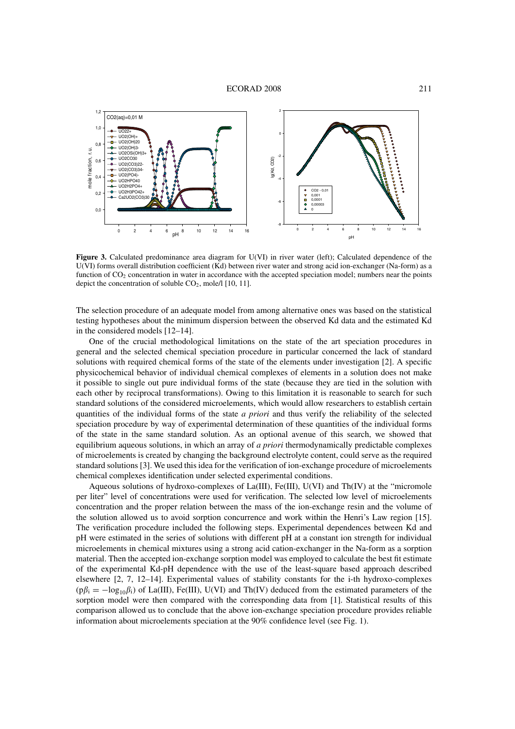

**Figure 3.** Calculated predominance area diagram for U(VI) in river water (left); Calculated dependence of the U(VI) forms overall distribution coefficient (Kd) between river water and strong acid ion-exchanger (Na-form) as a function of  $CO<sub>2</sub>$  concentration in water in accordance with the accepted speciation model; numbers near the points depict the concentration of soluble  $CO<sub>2</sub>$ , mole/l [10, 11].

The selection procedure of an adequate model from among alternative ones was based on the statistical testing hypotheses about the minimum dispersion between the observed Kd data and the estimated Kd in the considered models [12–14].

One of the crucial methodological limitations on the state of the art speciation procedures in general and the selected chemical speciation procedure in particular concerned the lack of standard solutions with required chemical forms of the state of the elements under investigation [2]. A specific physicochemical behavior of individual chemical complexes of elements in a solution does not make it possible to single out pure individual forms of the state (because they are tied in the solution with each other by reciprocal transformations). Owing to this limitation it is reasonable to search for such standard solutions of the considered microelements, which would allow researchers to establish certain quantities of the individual forms of the state *a priori* and thus verify the reliability of the selected speciation procedure by way of experimental determination of these quantities of the individual forms of the state in the same standard solution. As an optional avenue of this search, we showed that equilibrium aqueous solutions, in which an array of *a priori* thermodynamically predictable complexes of microelements is created by changing the background electrolyte content, could serve as the required standard solutions [3]. We used this idea for the verification of ion-exchange procedure of microelements chemical complexes identification under selected experimental conditions.

Aqueous solutions of hydroxo-complexes of  $La(III)$ ,  $Fe(III)$ ,  $U(VI)$  and  $Th(IV)$  at the "micromole per liter" level of concentrations were used for verification. The selected low level of microelements concentration and the proper relation between the mass of the ion-exchange resin and the volume of the solution allowed us to avoid sorption concurrence and work within the Henri's Law region [15]. The verification procedure included the following steps. Experimental dependences between Kd and pH were estimated in the series of solutions with different pH at a constant ion strength for individual microelements in chemical mixtures using a strong acid cation-exchanger in the Na-form as a sorption material. Then the accepted ion-exchange sorption model was employed to calculate the best fit estimate of the experimental Kd-pH dependence with the use of the least-square based approach described elsewhere [2, 7, 12–14]. Experimental values of stability constants for the i-th hydroxo-complexes  $(p\beta_i = -\log_{10}\beta_i)$  of La(III), Fe(III), U(VI) and Th(IV) deduced from the estimated parameters of the sorption model were then compared with the corresponding data from [1]. Statistical results of this comparison allowed us to conclude that the above ion-exchange speciation procedure provides reliable information about microelements speciation at the 90% confidence level (see Fig. 1).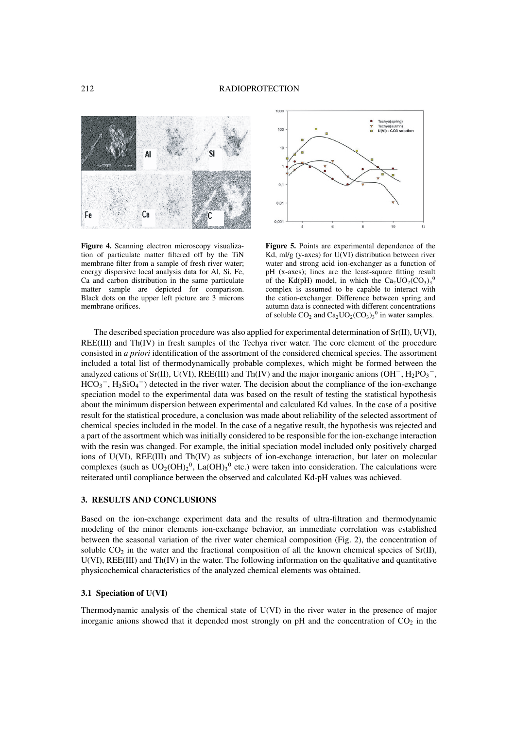

**Figure 4.** Scanning electron microscopy visualization of particulate matter filtered off by the TiN membrane filter from a sample of fresh river water; energy dispersive local analysis data for Al, Si, Fe, Ca and carbon distribution in the same particulate matter sample are depicted for comparison. Black dots on the upper left picture are 3 microns membrane orifices.



**Figure 5.** Points are experimental dependence of the Kd, ml/g (y-axes) for U(VI) distribution between river water and strong acid ion-exchanger as a function of pH (x-axes); lines are the least-square fitting result of the Kd(pH) model, in which the  $Ca_2UO_2(CO_3)_{3}^{0}$ complex is assumed to be capable to interact with the cation-exchanger. Difference between spring and autumn data is connected with different concentrations of soluble  $CO_2$  and  $Ca_2UO_2(CO_3)_3^0$  in water samples.

The described speciation procedure was also applied for experimental determination of Sr(II), U(VI), REE(III) and Th(IV) in fresh samples of the Techya river water. The core element of the procedure consisted in *a priori* identification of the assortment of the considered chemical species. The assortment included a total list of thermodynamically probable complexes, which might be formed between the analyzed cations of Sr(II), U(VI), REE(III) and Th(IV) and the major inorganic anions (OH<sup>−</sup>, H<sub>2</sub>PO<sub>3</sub><sup>−</sup>,  $HCO<sub>3</sub><sup>-</sup>$ ,  $H<sub>3</sub>SiO<sub>4</sub><sup>-</sup>$ ) detected in the river water. The decision about the compliance of the ion-exchange speciation model to the experimental data was based on the result of testing the statistical hypothesis about the minimum dispersion between experimental and calculated Kd values. In the case of a positive result for the statistical procedure, a conclusion was made about reliability of the selected assortment of chemical species included in the model. In the case of a negative result, the hypothesis was rejected and a part of the assortment which was initially considered to be responsible for the ion-exchange interaction with the resin was changed. For example, the initial speciation model included only positively charged ions of U(VI), REE(III) and Th(IV) as subjects of ion-exchange interaction, but later on molecular complexes (such as  $UO_2(OH)_2^0$ , La $(OH)_3^0$  etc.) were taken into consideration. The calculations were reiterated until compliance between the observed and calculated Kd-pH values was achieved.

### **3. RESULTS AND CONCLUSIONS**

Based on the ion-exchange experiment data and the results of ultra-filtration and thermodynamic modeling of the minor elements ion-exchange behavior, an immediate correlation was established between the seasonal variation of the river water chemical composition (Fig. 2), the concentration of soluble  $CO_2$  in the water and the fractional composition of all the known chemical species of  $Sr(II)$ ,  $U(VI)$ ,  $REE(III)$  and  $Th(IV)$  in the water. The following information on the qualitative and quantitative physicochemical characteristics of the analyzed chemical elements was obtained.

## **3.1 Speciation of U(VI)**

Thermodynamic analysis of the chemical state of U(VI) in the river water in the presence of major inorganic anions showed that it depended most strongly on pH and the concentration of  $CO<sub>2</sub>$  in the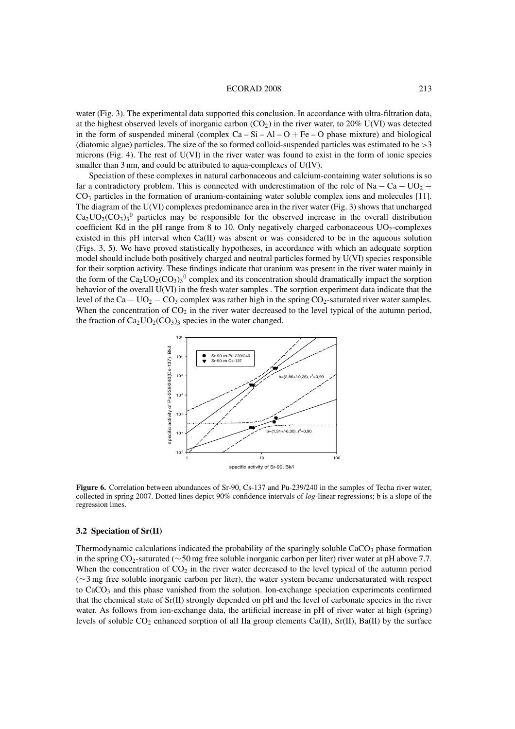#### ECORAD 2008 213

water (Fig. 3). The experimental data supported this conclusion. In accordance with ultra-filtration data, at the highest observed levels of inorganic carbon  $(CO<sub>2</sub>)$  in the river water, to 20% U(VI) was detected in the form of suspended mineral (complex  $Ca - Si - Al - O + Fe - O$  phase mixture) and biological (diatomic algae) particles. The size of the so formed colloid-suspended particles was estimated to be  $>3$ microns (Fig. 4). The rest of U(VI) in the river water was found to exist in the form of ionic species smaller than 3 nm, and could be attributed to aqua-complexes of U(IV).

Speciation of these complexes in natural carbonaceous and calcium-containing water solutions is so far a contradictory problem. This is connected with underestimation of the role of Na – Ca – UO<sub>2</sub> –  $CO<sub>3</sub>$  particles in the formation of uranium-containing water soluble complex ions and molecules [11]. The diagram of the U(VI) complexes predominance area in the river water (Fig. 3) shows that uncharged  $Ca_2UO_2(CO_3)$ <sup>0</sup> particles may be responsible for the observed increase in the overall distribution coefficient Kd in the pH range from 8 to 10. Only negatively charged carbonaceous  $UO<sub>2</sub>$ -complexes existed in this pH interval when  $Ca(\Pi)$  was absent or was considered to be in the aqueous solution (Figs. 3, 5). We have proved statistically hypotheses, in accordance with which an adequate sorption model should include both positively charged and neutral particles formed by U(VI) species responsible for their sorption activity. These findings indicate that uranium was present in the river water mainly in the form of the  $Ca_2UO_2(CO_3)_3^0$  complex and its concentration should dramatically impact the sorption behavior of the overall U(VI) in the fresh water samples . The sorption experiment data indicate that the level of the Ca – UO<sub>2</sub> – CO<sub>3</sub> complex was rather high in the spring CO<sub>2</sub>-saturated river water samples. When the concentration of  $CO<sub>2</sub>$  in the river water decreased to the level typical of the autumn period, the fraction of  $Ca_2UO_2(CO_3)$ <sub>3</sub> species in the water changed.



**Figure 6.** Correlation between abundances of Sr-90, Cs-137 and Pu-239/240 in the samples of Techa river water, collected in spring 2007. Dotted lines depict 90% confidence intervals of *log*-linear regressions; b is a slope of the regression lines.

#### **3.2 Speciation of Sr(II)**

Thermodynamic calculations indicated the probability of the sparingly soluble  $CaCO<sub>3</sub>$  phase formation in the spring CO2-saturated (∼50 mg free soluble inorganic carbon per liter) river water at pH above 7.7. When the concentration of  $CO<sub>2</sub>$  in the river water decreased to the level typical of the autumn period (∼3 mg free soluble inorganic carbon per liter), the water system became undersaturated with respect to CaCO3 and this phase vanished from the solution. Ion-exchange speciation experiments confirmed that the chemical state of  $Sr(II)$  strongly depended on pH and the level of carbonate species in the river water. As follows from ion-exchange data, the artificial increase in pH of river water at high (spring) levels of soluble  $CO_2$  enhanced sorption of all IIa group elements  $Ca(II)$ ,  $Sr(II)$ ,  $Ba(II)$  by the surface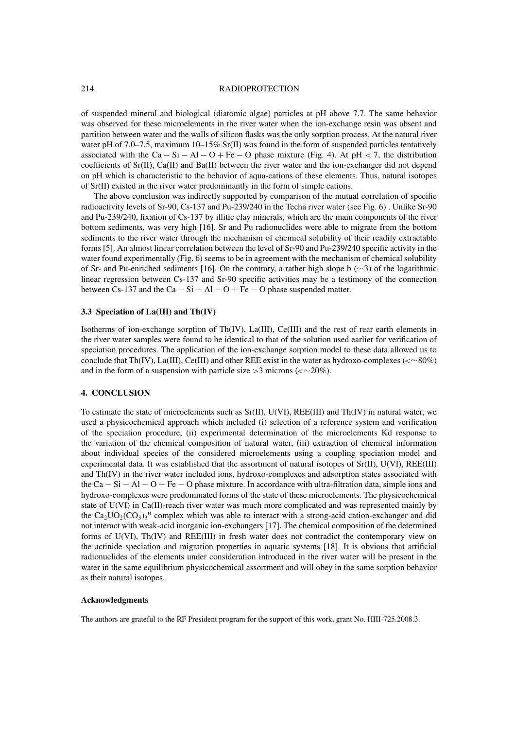#### 214 RADIOPROTECTION

of suspended mineral and biological (diatomic algae) particles at pH above 7.7. The same behavior was observed for these microelements in the river water when the ion-exchange resin was absent and partition between water and the walls of silicon flasks was the only sorption process. At the natural river water pH of 7.0–7.5, maximum 10–15% Sr(II) was found in the form of suspended particles tentatively associated with the  $Ca - Si - Al - O + Fe - O$  phase mixture (Fig. 4). At pH < 7, the distribution coefficients of Sr(II), Ca(II) and Ba(II) between the river water and the ion-exchanger did not depend on pH which is characteristic to the behavior of aqua-cations of these elements. Thus, natural isotopes of Sr(II) existed in the river water predominantly in the form of simple cations.

The above conclusion was indirectly supported by comparison of the mutual correlation of specific radioactivity levels of Sr-90, Cs-137 and Pu-239/240 in the Techa river water (see Fig. 6) . Unlike Sr-90 and Pu-239/240, fixation of Cs-137 by illitic clay minerals, which are the main components of the river bottom sediments, was very high [16]. Sr and Pu radionuclides were able to migrate from the bottom sediments to the river water through the mechanism of chemical solubility of their readily extractable forms [5]. An almost linear correlation between the level of Sr-90 and Pu-239/240 specific activity in the water found experimentally (Fig. 6) seems to be in agreement with the mechanism of chemical solubility of Sr- and Pu-enriched sediments [16]. On the contrary, a rather high slope b (∼3) of the logarithmic linear regression between Cs-137 and Sr-90 specific activities may be a testimony of the connection between Cs-137 and the Ca  $-$  Si  $-$  Al  $-$  O + Fe  $-$  O phase suspended matter.

#### **3.3 Speciation of La(III) and Th(IV)**

Isotherms of ion-exchange sorption of Th(IV), La(III), Ce(III) and the rest of rear earth elements in the river water samples were found to be identical to that of the solution used earlier for verification of speciation procedures. The application of the ion-exchange sorption model to these data allowed us to conclude that Th(IV), La(III), Ce(III) and other REE exist in the water as hydroxo-complexes (< $\sim$ 80%) and in the form of a suspension with particle size >3 microns ( $\langle \sim 20\% \rangle$ ).

#### **4. CONCLUSION**

To estimate the state of microelements such as Sr(II), U(VI), REE(III) and Th(IV) in natural water, we used a physicochemical approach which included (i) selection of a reference system and verification of the speciation procedure, (ii) experimental determination of the microelements Kd response to the variation of the chemical composition of natural water, (iii) extraction of chemical information about individual species of the considered microelements using a coupling speciation model and experimental data. It was established that the assortment of natural isotopes of Sr(II), U(VI), REE(III) and Th(IV) in the river water included ions, hydroxo-complexes and adsorption states associated with the Ca  $-$  Si  $-$  Al  $-$  O + Fe  $-$  O phase mixture. In accordance with ultra-filtration data, simple ions and hydroxo-complexes were predominated forms of the state of these microelements. The physicochemical state of U(VI) in Ca(II)-reach river water was much more complicated and was represented mainly by the  $Ca_2UO_2(CO_3)_3^0$  complex which was able to interact with a strong-acid cation-exchanger and did not interact with weak-acid inorganic ion-exchangers [17]. The chemical composition of the determined forms of U(VI), Th(IV) and REE(III) in fresh water does not contradict the contemporary view on the actinide speciation and migration properties in aquatic systems [18]. It is obvious that artificial radionuclides of the elements under consideration introduced in the river water will be present in the water in the same equilibrium physicochemical assortment and will obey in the same sorption behavior as their natural isotopes.

#### **Acknowledgments**

The authors are grateful to the RF President program for the support of this work, grant No. HIII-725.2008.3.